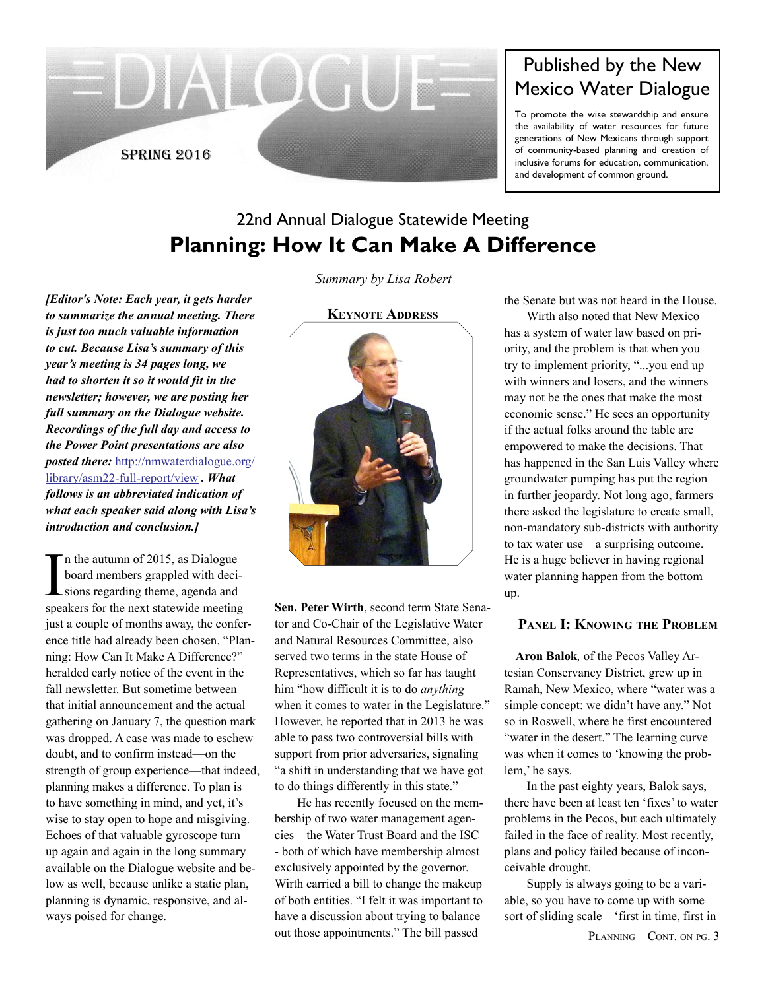

# Published by the New Mexico Water Dialogue

To promote the wise stewardship and ensure the availability of water resources for future generations of New Mexicans through support of community-based planning and creation of inclusive forums for education, communication, and development of common ground.

## 22nd Annual Dialogue Statewide Meeting **Planning: How It Can Make A Difference**

*[Editor's Note: Each year, it gets harder to summarize the annual meeting. There is just too much valuable information to cut. Because Lisa's summary of this year's meeting is 34 pages long, we had to shorten it so it would fit in the newsletter; however, we are posting her full summary on the Dialogue website. Recordings of the full day and access to the Power Point presentations are also posted there:* [http://nmwaterdialogue.org/](http://nmwaterdialogue.org/library/asm22-full-report/view) [library/asm22-full-report/view](http://nmwaterdialogue.org/library/asm22-full-report/view) *. What follows is an abbreviated indication of what each speaker said along with Lisa's introduction and conclusion.]*

In the autumn of 2015, as Dialogue<br>board members grappled with deci-<br>sions regarding theme, agenda and<br>speakers for the next statewide meeting n the autumn of 2015, as Dialogue board members grappled with decisions regarding theme, agenda and just a couple of months away, the conference title had already been chosen. "Planning: How Can It Make A Difference?" heralded early notice of the event in the fall newsletter. But sometime between that initial announcement and the actual gathering on January 7, the question mark was dropped. A case was made to eschew doubt, and to confirm instead—on the strength of group experience—that indeed, planning makes a difference. To plan is to have something in mind, and yet, it's wise to stay open to hope and misgiving. Echoes of that valuable gyroscope turn up again and again in the long summary available on the Dialogue website and below as well, because unlike a static plan, planning is dynamic, responsive, and always poised for change.

*Summary by Lisa Robert*

#### **Keynote Address**



**Sen. Peter Wirth**, second term State Senator and Co-Chair of the Legislative Water and Natural Resources Committee, also served two terms in the state House of Representatives, which so far has taught him "how difficult it is to do *anything* when it comes to water in the Legislature." However, he reported that in 2013 he was able to pass two controversial bills with support from prior adversaries, signaling "a shift in understanding that we have got to do things differently in this state."

He has recently focused on the membership of two water management agencies – the Water Trust Board and the ISC - both of which have membership almost exclusively appointed by the governor. Wirth carried a bill to change the makeup of both entities. "I felt it was important to have a discussion about trying to balance out those appointments." The bill passed

the Senate but was not heard in the House.

Wirth also noted that New Mexico has a system of water law based on priority, and the problem is that when you try to implement priority, "...you end up with winners and losers, and the winners may not be the ones that make the most economic sense." He sees an opportunity if the actual folks around the table are empowered to make the decisions. That has happened in the San Luis Valley where groundwater pumping has put the region in further jeopardy. Not long ago, farmers there asked the legislature to create small, non-mandatory sub-districts with authority to tax water use – a surprising outcome. He is a huge believer in having regional water planning happen from the bottom up.

#### **Panel I: Knowing the Problem**

**Aron Balok***,* of the Pecos Valley Artesian Conservancy District, grew up in Ramah, New Mexico, where "water was a simple concept: we didn't have any." Not so in Roswell, where he first encountered "water in the desert." The learning curve was when it comes to 'knowing the problem,' he says.

In the past eighty years, Balok says, there have been at least ten 'fixes' to water problems in the Pecos, but each ultimately failed in the face of reality. Most recently, plans and policy failed because of inconceivable drought.

Supply is always going to be a variable, so you have to come up with some sort of sliding scale—'first in time, first in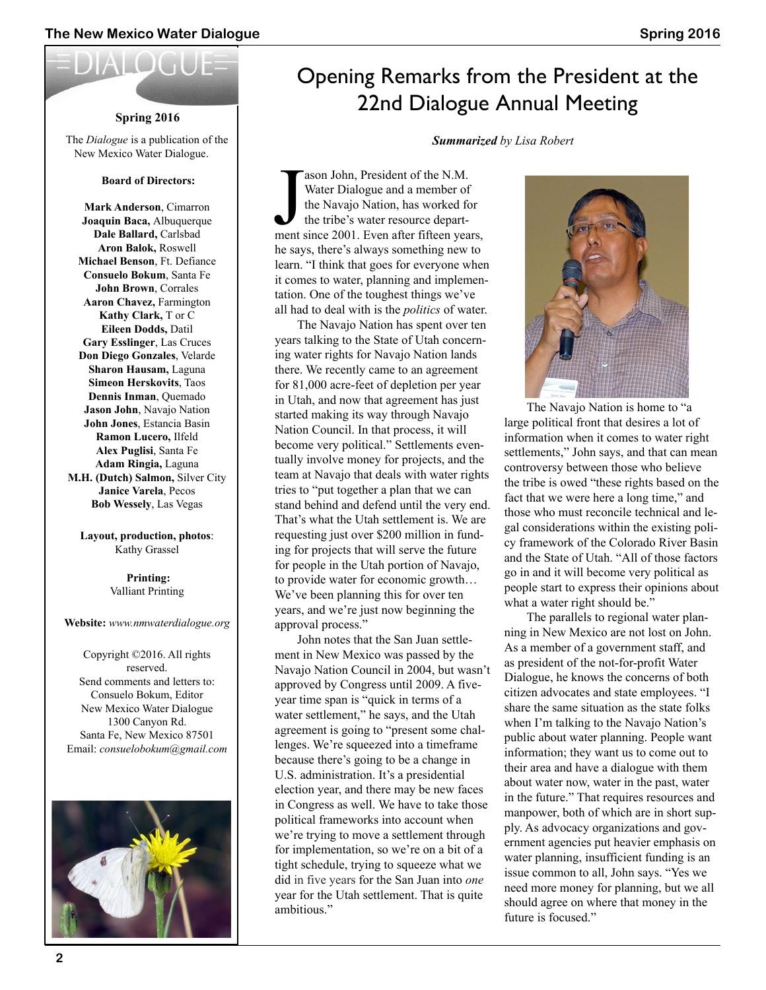#### **Spring 2016**

The *Dialogue* is a publication of the New Mexico Water Dialogue.

#### **Board of Directors:**

**Mark Anderson**, Cimarron **Joaquin Baca,** Albuquerque **Dale Ballard,** Carlsbad **Aron Balok,** Roswell **Michael Benson**, Ft. Defiance **Consuelo Bokum**, Santa Fe **John Brown**, Corrales **Aaron Chavez,** Farmington **Kathy Clark,** T or C **Eileen Dodds,** Datil **Gary Esslinger**, Las Cruces **Don Diego Gonzales**, Velarde **Sharon Hausam,** Laguna **Simeon Herskovits**, Taos **Dennis Inman**, Quemado **Jason John**, Navajo Nation **John Jones**, Estancia Basin **Ramon Lucero,** Ilfeld **Alex Puglisi**, Santa Fe **Adam Ringia,** Laguna **M.H. (Dutch) Salmon,** Silver City **Janice Varela**, Pecos

**Layout, production, photos**: Kathy Grassel

**Bob Wessely**, Las Vegas

 **Printing:** Valliant Printing

#### **Website:** *www.nmwaterdialogue.org*

Copyright ©2016. All rights reserved. Send comments and letters to: Consuelo Bokum, Editor New Mexico Water Dialogue 1300 Canyon Rd. Santa Fe, New Mexico 87501 Email: *consuelobokum@gmail.com*



# Opening Remarks from the President at the 22nd Dialogue Annual Meeting

*Summarized by Lisa Robert*

The Sacrifician School and a member of the Navajo Nation, has worked for the tribe's water resource department since 2001. Even after fifteen years, ason John, President of the N.M. Water Dialogue and a member of the Navajo Nation, has worked for the tribe's water resource departhe says, there's always something new to learn. "I think that goes for everyone when it comes to water, planning and implementation. One of the toughest things we've all had to deal with is the *politics* of water.

 The Navajo Nation has spent over ten years talking to the State of Utah concerning water rights for Navajo Nation lands there. We recently came to an agreement for 81,000 acre-feet of depletion per year in Utah, and now that agreement has just started making its way through Navajo Nation Council. In that process, it will become very political." Settlements eventually involve money for projects, and the team at Navajo that deals with water rights tries to "put together a plan that we can stand behind and defend until the very end. That's what the Utah settlement is. We are requesting just over \$200 million in funding for projects that will serve the future for people in the Utah portion of Navajo, to provide water for economic growth… We've been planning this for over ten years, and we're just now beginning the approval process."

 John notes that the San Juan settlement in New Mexico was passed by the Navajo Nation Council in 2004, but wasn't approved by Congress until 2009. A fiveyear time span is "quick in terms of a water settlement," he says, and the Utah agreement is going to "present some challenges. We're squeezed into a timeframe because there's going to be a change in U.S. administration. It's a presidential election year, and there may be new faces in Congress as well. We have to take those political frameworks into account when we're trying to move a settlement through for implementation, so we're on a bit of a tight schedule, trying to squeeze what we did in five years for the San Juan into *one* year for the Utah settlement. That is quite ambitious."



 The Navajo Nation is home to "a large political front that desires a lot of information when it comes to water right settlements," John says, and that can mean controversy between those who believe the tribe is owed "these rights based on the fact that we were here a long time," and those who must reconcile technical and legal considerations within the existing policy framework of the Colorado River Basin and the State of Utah. "All of those factors go in and it will become very political as people start to express their opinions about what a water right should be."

 The parallels to regional water planning in New Mexico are not lost on John. As a member of a government staff, and as president of the not-for-profit Water Dialogue, he knows the concerns of both citizen advocates and state employees. "I share the same situation as the state folks when I'm talking to the Navajo Nation's public about water planning. People want information; they want us to come out to their area and have a dialogue with them about water now, water in the past, water in the future." That requires resources and manpower, both of which are in short supply. As advocacy organizations and government agencies put heavier emphasis on water planning, insufficient funding is an issue common to all, John says. "Yes we need more money for planning, but we all should agree on where that money in the future is focused."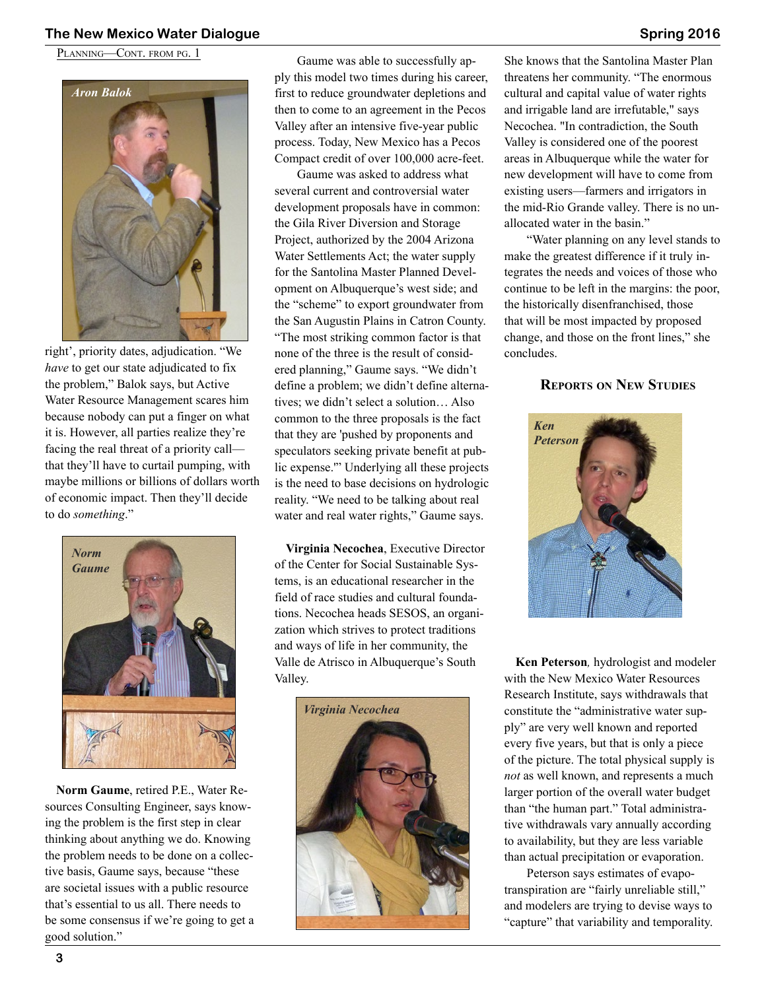#### **The New Mexico Water Dialogue Spring 2016**

PLANNING—CONT. FROM PG. 1



right', priority dates, adjudication. "We *have* to get our state adjudicated to fix the problem," Balok says, but Active Water Resource Management scares him because nobody can put a finger on what it is. However, all parties realize they're facing the real threat of a priority call that they'll have to curtail pumping, with maybe millions or billions of dollars worth of economic impact. Then they'll decide to do *something*."



**Norm Gaume**, retired P.E., Water Resources Consulting Engineer, says knowing the problem is the first step in clear thinking about anything we do. Knowing the problem needs to be done on a collective basis, Gaume says, because "these are societal issues with a public resource that's essential to us all. There needs to be some consensus if we're going to get a good solution."

Gaume was able to successfully apply this model two times during his career, first to reduce groundwater depletions and then to come to an agreement in the Pecos Valley after an intensive five-year public process. Today, New Mexico has a Pecos Compact credit of over 100,000 acre-feet.

Gaume was asked to address what several current and controversial water development proposals have in common: the Gila River Diversion and Storage Project, authorized by the 2004 Arizona Water Settlements Act; the water supply for the Santolina Master Planned Development on Albuquerque's west side; and the "scheme" to export groundwater from the San Augustin Plains in Catron County. "The most striking common factor is that none of the three is the result of considered planning," Gaume says. "We didn't define a problem; we didn't define alternatives; we didn't select a solution… Also common to the three proposals is the fact that they are 'pushed by proponents and speculators seeking private benefit at public expense.'" Underlying all these projects is the need to base decisions on hydrologic reality. "We need to be talking about real water and real water rights," Gaume says.

**Virginia Necochea**, Executive Director of the Center for Social Sustainable Systems, is an educational researcher in the field of race studies and cultural foundations. Necochea heads SESOS, an organization which strives to protect traditions and ways of life in her community, the Valle de Atrisco in Albuquerque's South Valley.



She knows that the Santolina Master Plan threatens her community. "The enormous cultural and capital value of water rights and irrigable land are irrefutable," says Necochea. "In contradiction, the South Valley is considered one of the poorest areas in Albuquerque while the water for new development will have to come from existing users—farmers and irrigators in the mid-Rio Grande valley. There is no unallocated water in the basin."

"Water planning on any level stands to make the greatest difference if it truly integrates the needs and voices of those who continue to be left in the margins: the poor, the historically disenfranchised, those that will be most impacted by proposed change, and those on the front lines," she concludes.

#### **Reports on New Studies**



**Ken Peterson***,* hydrologist and modeler with the New Mexico Water Resources Research Institute, says withdrawals that constitute the "administrative water supply" are very well known and reported every five years, but that is only a piece of the picture. The total physical supply is *not* as well known, and represents a much larger portion of the overall water budget than "the human part." Total administrative withdrawals vary annually according to availability, but they are less variable than actual precipitation or evaporation.

Peterson says estimates of evapotranspiration are "fairly unreliable still," and modelers are trying to devise ways to "capture" that variability and temporality.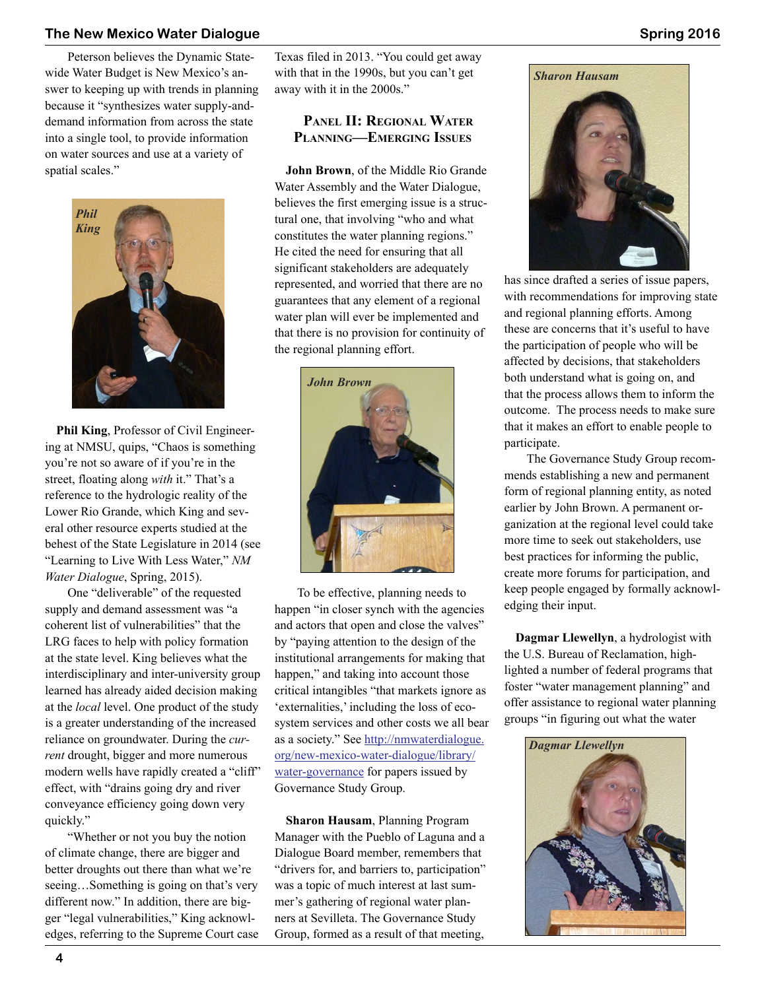#### **The New Mexico Water Dialogue Spring 2016**

Peterson believes the Dynamic Statewide Water Budget is New Mexico's answer to keeping up with trends in planning because it "synthesizes water supply-anddemand information from across the state into a single tool, to provide information on water sources and use at a variety of spatial scales."



**Phil King**, Professor of Civil Engineering at NMSU, quips, "Chaos is something you're not so aware of if you're in the street, floating along *with* it." That's a reference to the hydrologic reality of the Lower Rio Grande, which King and several other resource experts studied at the behest of the State Legislature in 2014 (see "Learning to Live With Less Water," *NM Water Dialogue*, Spring, 2015).

One "deliverable" of the requested supply and demand assessment was "a coherent list of vulnerabilities" that the LRG faces to help with policy formation at the state level. King believes what the interdisciplinary and inter-university group learned has already aided decision making at the *local* level. One product of the study is a greater understanding of the increased reliance on groundwater. During the *current* drought, bigger and more numerous modern wells have rapidly created a "cliff" effect, with "drains going dry and river conveyance efficiency going down very quickly."

"Whether or not you buy the notion of climate change, there are bigger and better droughts out there than what we're seeing…Something is going on that's very different now." In addition, there are bigger "legal vulnerabilities," King acknowledges, referring to the Supreme Court case Texas filed in 2013. "You could get away with that in the 1990s, but you can't get away with it in the 2000s."

#### **Panel II: Regional Water Planning—Emerging Issues**

**John Brown**, of the Middle Rio Grande Water Assembly and the Water Dialogue, believes the first emerging issue is a structural one, that involving "who and what constitutes the water planning regions." He cited the need for ensuring that all significant stakeholders are adequately represented, and worried that there are no guarantees that any element of a regional water plan will ever be implemented and that there is no provision for continuity of the regional planning effort.



To be effective, planning needs to happen "in closer synch with the agencies and actors that open and close the valves" by "paying attention to the design of the institutional arrangements for making that happen," and taking into account those critical intangibles "that markets ignore as 'externalities,' including the loss of ecosystem services and other costs we all bear as a society." See [http://nmwaterdialogue.](http://nmwaterdialogue.org/new-mexico-water-dialogue/library/water-governance) [org/new-mexico-water-dialogue/library/](http://nmwaterdialogue.org/new-mexico-water-dialogue/library/water-governance) [water-governance](http://nmwaterdialogue.org/new-mexico-water-dialogue/library/water-governance) for papers issued by Governance Study Group.

**Sharon Hausam**, Planning Program Manager with the Pueblo of Laguna and a Dialogue Board member, remembers that "drivers for, and barriers to, participation" was a topic of much interest at last summer's gathering of regional water planners at Sevilleta. The Governance Study Group, formed as a result of that meeting,

### *Sharon Hausam*



has since drafted a series of issue papers, with recommendations for improving state and regional planning efforts. Among these are concerns that it's useful to have the participation of people who will be affected by decisions, that stakeholders both understand what is going on, and that the process allows them to inform the outcome. The process needs to make sure that it makes an effort to enable people to participate.

The Governance Study Group recommends establishing a new and permanent form of regional planning entity, as noted earlier by John Brown. A permanent organization at the regional level could take more time to seek out stakeholders, use best practices for informing the public, create more forums for participation, and keep people engaged by formally acknowledging their input.

**Dagmar Llewellyn**, a hydrologist with the U.S. Bureau of Reclamation, highlighted a number of federal programs that foster "water management planning" and offer assistance to regional water planning groups "in figuring out what the water

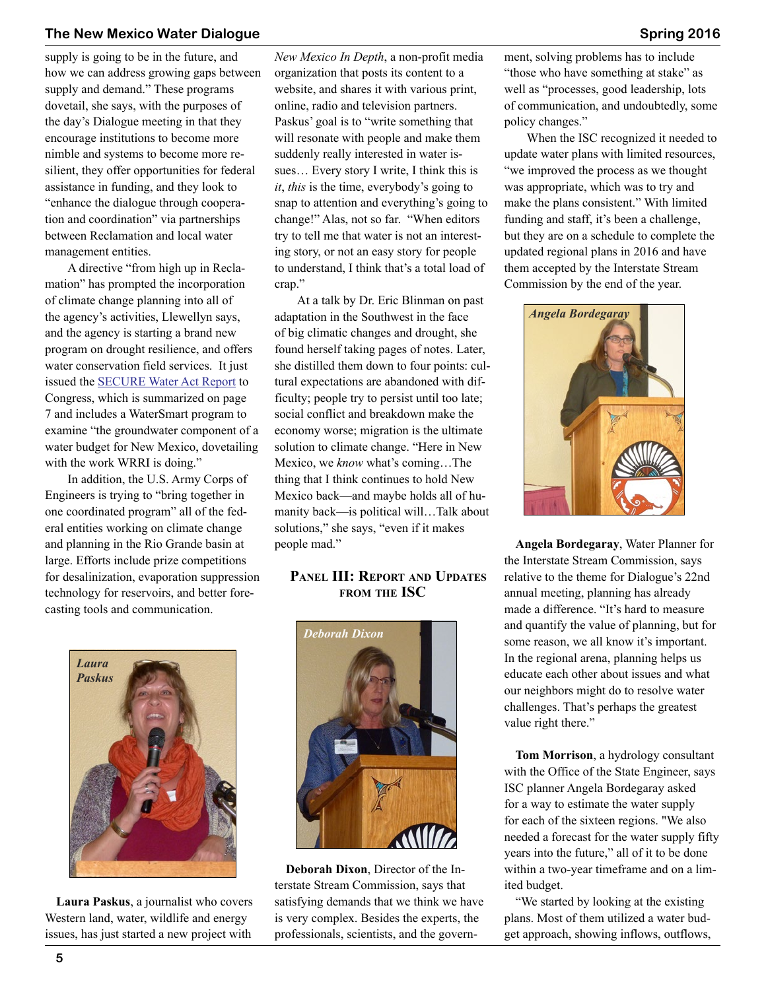### **The New Mexico Water Dialogue Spring 2016**

supply is going to be in the future, and how we can address growing gaps between supply and demand." These programs dovetail, she says, with the purposes of the day's Dialogue meeting in that they encourage institutions to become more nimble and systems to become more resilient, they offer opportunities for federal assistance in funding, and they look to "enhance the dialogue through cooperation and coordination" via partnerships between Reclamation and local water management entities.

A directive "from high up in Reclamation" has prompted the incorporation of climate change planning into all of the agency's activities, Llewellyn says, and the agency is starting a brand new program on drought resilience, and offers water conservation field services. It just issued the [SECURE Water Act Report](http://www.usbr.gov/climate/) to Congress, which is summarized on page 7 and includes a WaterSmart program to examine "the groundwater component of a water budget for New Mexico, dovetailing with the work WRRI is doing."

In addition, the U.S. Army Corps of Engineers is trying to "bring together in one coordinated program" all of the federal entities working on climate change and planning in the Rio Grande basin at large. Efforts include prize competitions for desalinization, evaporation suppression technology for reservoirs, and better forecasting tools and communication.

*New Mexico In Depth*, a non-profit media organization that posts its content to a website, and shares it with various print, online, radio and television partners. Paskus' goal is to "write something that will resonate with people and make them suddenly really interested in water issues… Every story I write, I think this is *it*, *this* is the time, everybody's going to snap to attention and everything's going to change!" Alas, not so far. "When editors try to tell me that water is not an interesting story, or not an easy story for people to understand, I think that's a total load of crap."

At a talk by Dr. Eric Blinman on past adaptation in the Southwest in the face of big climatic changes and drought, she found herself taking pages of notes. Later, she distilled them down to four points: cultural expectations are abandoned with difficulty; people try to persist until too late; social conflict and breakdown make the economy worse; migration is the ultimate solution to climate change. "Here in New Mexico, we *know* what's coming…The thing that I think continues to hold New Mexico back—and maybe holds all of humanity back—is political will…Talk about solutions," she says, "even if it makes people mad."

### **Panel III: Report and Updates from the ISC**



**Laura Paskus**, a journalist who covers Western land, water, wildlife and energy issues, has just started a new project with



**Deborah Dixon**, Director of the Interstate Stream Commission, says that satisfying demands that we think we have is very complex. Besides the experts, the professionals, scientists, and the government, solving problems has to include "those who have something at stake" as well as "processes, good leadership, lots of communication, and undoubtedly, some policy changes."

When the ISC recognized it needed to update water plans with limited resources, "we improved the process as we thought was appropriate, which was to try and make the plans consistent." With limited funding and staff, it's been a challenge, but they are on a schedule to complete the updated regional plans in 2016 and have them accepted by the Interstate Stream Commission by the end of the year.



**Angela Bordegaray**, Water Planner for the Interstate Stream Commission, says relative to the theme for Dialogue's 22nd annual meeting, planning has already made a difference. "It's hard to measure and quantify the value of planning, but for some reason, we all know it's important. In the regional arena, planning helps us educate each other about issues and what our neighbors might do to resolve water challenges. That's perhaps the greatest value right there."

**Tom Morrison**, a hydrology consultant with the Office of the State Engineer, says ISC planner Angela Bordegaray asked for a way to estimate the water supply for each of the sixteen regions. "We also needed a forecast for the water supply fifty years into the future," all of it to be done within a two-year timeframe and on a limited budget.

"We started by looking at the existing plans. Most of them utilized a water budget approach, showing inflows, outflows,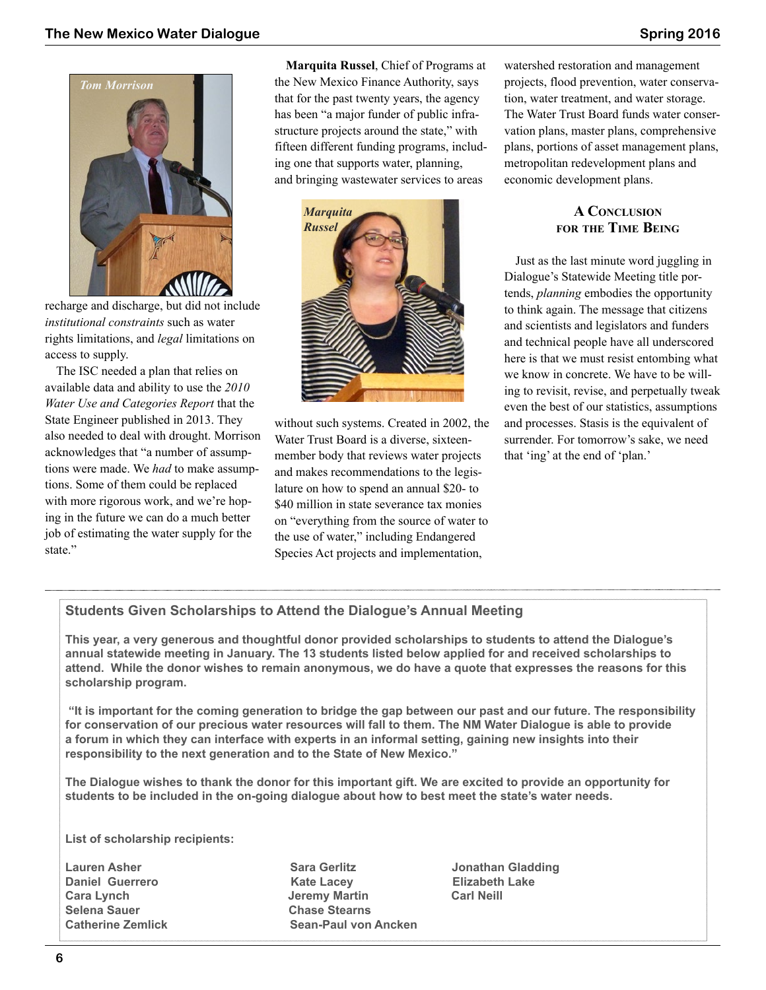

recharge and discharge, but did not include *institutional constraints* such as water rights limitations, and *legal* limitations on access to supply.

The ISC needed a plan that relies on available data and ability to use the *2010 Water Use and Categories Report* that the State Engineer published in 2013. They also needed to deal with drought. Morrison acknowledges that "a number of assumptions were made. We *had* to make assumptions. Some of them could be replaced with more rigorous work, and we're hoping in the future we can do a much better job of estimating the water supply for the state."

**Marquita Russel**, Chief of Programs at the New Mexico Finance Authority, says that for the past twenty years, the agency has been "a major funder of public infrastructure projects around the state," with fifteen different funding programs, including one that supports water, planning, and bringing wastewater services to areas



without such systems. Created in 2002, the Water Trust Board is a diverse, sixteenmember body that reviews water projects and makes recommendations to the legislature on how to spend an annual \$20- to \$40 million in state severance tax monies on "everything from the source of water to the use of water," including Endangered Species Act projects and implementation,

watershed restoration and management projects, flood prevention, water conservation, water treatment, and water storage. The Water Trust Board funds water conservation plans, master plans, comprehensive plans, portions of asset management plans, metropolitan redevelopment plans and economic development plans.

#### **A Conclusion for the Time Being**

Just as the last minute word juggling in Dialogue's Statewide Meeting title portends, *planning* embodies the opportunity to think again. The message that citizens and scientists and legislators and funders and technical people have all underscored here is that we must resist entombing what we know in concrete. We have to be willing to revisit, revise, and perpetually tweak even the best of our statistics, assumptions and processes. Stasis is the equivalent of surrender. For tomorrow's sake, we need that 'ing' at the end of 'plan.'

### **Students Given Scholarships to Attend the Dialogue's Annual Meeting**

**This year, a very generous and thoughtful donor provided scholarships to students to attend the Dialogue's annual statewide meeting in January. The 13 students listed below applied for and received scholarships to attend. While the donor wishes to remain anonymous, we do have a quote that expresses the reasons for this scholarship program.**

**"It is important for the coming generation to bridge the gap between our past and our future. The responsibility for conservation of our precious water resources will fall to them. The NM Water Dialogue is able to provide a forum in which they can interface with experts in an informal setting, gaining new insights into their responsibility to the next generation and to the State of New Mexico."**

**The Dialogue wishes to thank the donor for this important gift. We are excited to provide an opportunity for students to be included in the on-going dialogue about how to best meet the state's water needs.**

**List of scholarship recipients:**

**Lauren Asher Sara Gerlitz Jonathan Gladding Selena Sauer Chase Stearns**

**Daniel Guerrero Kate Lacey Elizabeth Lake Jeremy Martin Catherine Zemlick Sean-Paul von Ancken**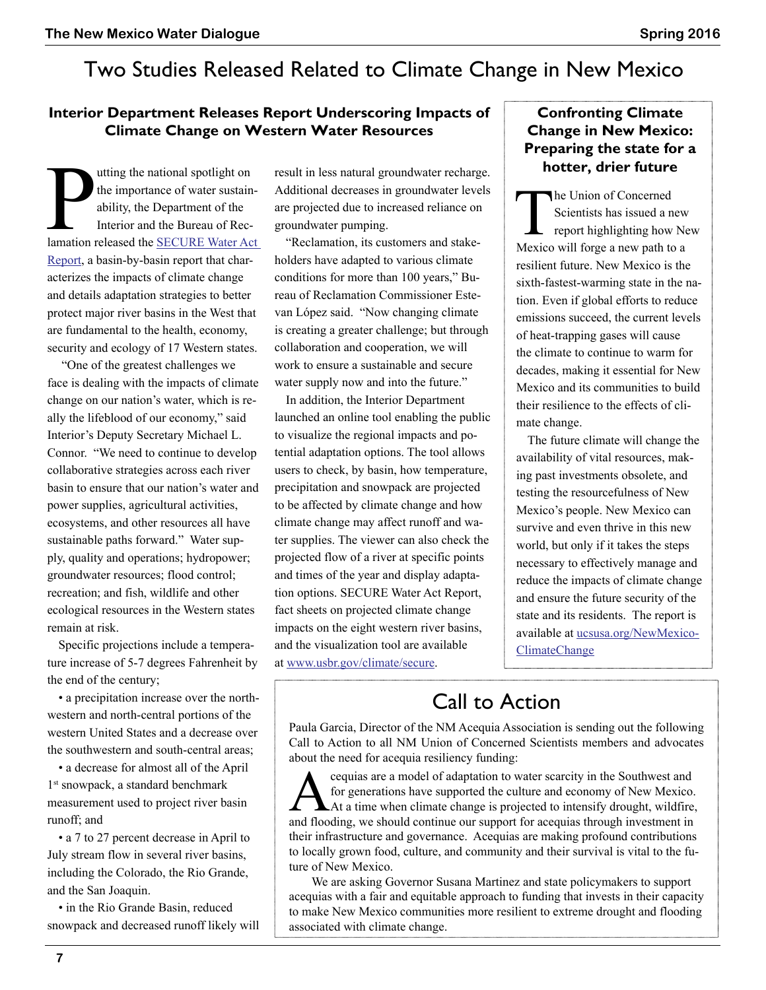# Two Studies Released Related to Climate Change in New Mexico

## **Interior Department Releases Report Underscoring Impacts of Climate Change on Western Water Resources**

The importance of water sustainability, the Department of the Interior and the Bureau of Reclamation released the SECURE Water Act utting the national spotlight on the importance of water sustainability, the Department of the Interior and the Bureau of Rec-[Report,](http://www.usbr.gov/climate/) a basin-by-basin report that characterizes the impacts of climate change and details adaptation strategies to better protect major river basins in the West that are fundamental to the health, economy, security and ecology of 17 Western states.

 "One of the greatest challenges we face is dealing with the impacts of climate change on our nation's water, which is really the lifeblood of our economy," said Interior's Deputy Secretary Michael L. Connor. "We need to continue to develop collaborative strategies across each river basin to ensure that our nation's water and power supplies, agricultural activities, ecosystems, and other resources all have sustainable paths forward." Water supply, quality and operations; hydropower; groundwater resources; flood control; recreation; and fish, wildlife and other ecological resources in the Western states remain at risk.

Specific projections include a temperature increase of 5-7 degrees Fahrenheit by the end of the century;

• a precipitation increase over the northwestern and north-central portions of the western United States and a decrease over the southwestern and south-central areas;

• a decrease for almost all of the April 1<sup>st</sup> snowpack, a standard benchmark measurement used to project river basin runoff; and

• a 7 to 27 percent decrease in April to July stream flow in several river basins, including the Colorado, the Rio Grande, and the San Joaquin.

• in the Rio Grande Basin, reduced snowpack and decreased runoff likely will result in less natural groundwater recharge. Additional decreases in groundwater levels are projected due to increased reliance on groundwater pumping.

"Reclamation, its customers and stakeholders have adapted to various climate conditions for more than 100 years," Bureau of Reclamation Commissioner Estevan López said. "Now changing climate is creating a greater challenge; but through collaboration and cooperation, we will work to ensure a sustainable and secure water supply now and into the future."

In addition, the Interior Department launched an online tool enabling the public to visualize the regional impacts and potential adaptation options. The tool allows users to check, by basin, how temperature, precipitation and snowpack are projected to be affected by climate change and how climate change may affect runoff and water supplies. The viewer can also check the projected flow of a river at specific points and times of the year and display adaptation options. SECURE Water Act Report, fact sheets on projected climate change impacts on the eight western river basins, and the visualization tool are available at [www.usbr.gov/climate/secure.](http://www.usbr.gov/climate/secure)

## **Confronting Climate Change in New Mexico: Preparing the state for a hotter, drier future**

The Union of Concerned<br>Scientists has issued a n<br>report highlighting how<br>Mexico will force a new path to Scientists has issued a new report highlighting how New Mexico will forge a new path to a resilient future. New Mexico is the sixth-fastest-warming state in the nation. Even if global efforts to reduce emissions succeed, the current levels of heat-trapping gases will cause the climate to continue to warm for decades, making it essential for New Mexico and its communities to build their resilience to the effects of climate change.

The future climate will change the availability of vital resources, making past investments obsolete, and testing the resourcefulness of New Mexico's people. New Mexico can survive and even thrive in this new world, but only if it takes the steps necessary to effectively manage and reduce the impacts of climate change and ensure the future security of the state and its residents. The report is available at [ucsusa.org/NewMexico-](http://ucsusa.org/NewMexicoClimateChange)[ClimateChange](http://ucsusa.org/NewMexicoClimateChange)

# Call to Action

Paula Garcia, Director of the NM Acequia Association is sending out the following Call to Action to all NM Union of Concerned Scientists members and advocates about the need for acequia resiliency funding:

Acequias are a model of adaptation to water scarcity in the Southwest and for generations have supported the culture and economy of New Mexico. At a time when climate change is projected to intensify drought, wildfire, and flooding, we should continue our support for acequias through investment in their infrastructure and governance. Acequias are making profound contributions to locally grown food, culture, and community and their survival is vital to the future of New Mexico.

We are asking Governor Susana Martinez and state policymakers to support acequias with a fair and equitable approach to funding that invests in their capacity to make New Mexico communities more resilient to extreme drought and flooding associated with climate change.